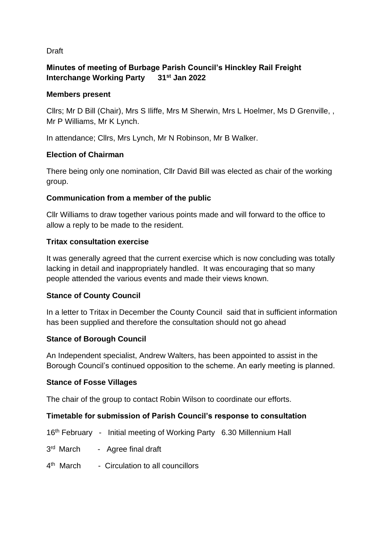#### Draft

# **Minutes of meeting of Burbage Parish Council's Hinckley Rail Freight Interchange Working Party 31st Jan 2022**

#### **Members present**

Cllrs; Mr D Bill (Chair), Mrs S Iliffe, Mrs M Sherwin, Mrs L Hoelmer, Ms D Grenville, , Mr P Williams, Mr K Lynch.

In attendance; Cllrs, Mrs Lynch, Mr N Robinson, Mr B Walker.

### **Election of Chairman**

There being only one nomination, Cllr David Bill was elected as chair of the working group.

# **Communication from a member of the public**

Cllr Williams to draw together various points made and will forward to the office to allow a reply to be made to the resident.

### **Tritax consultation exercise**

It was generally agreed that the current exercise which is now concluding was totally lacking in detail and inappropriately handled. It was encouraging that so many people attended the various events and made their views known.

### **Stance of County Council**

In a letter to Tritax in December the County Council said that in sufficient information has been supplied and therefore the consultation should not go ahead

### **Stance of Borough Council**

An Independent specialist, Andrew Walters, has been appointed to assist in the Borough Council's continued opposition to the scheme. An early meeting is planned.

### **Stance of Fosse Villages**

The chair of the group to contact Robin Wilson to coordinate our efforts.

### **Timetable for submission of Parish Council's response to consultation**

- 16th February Initial meeting of Working Party 6.30 Millennium Hall
- 3<sup>rd</sup> March Agree final draft
- 4<sup>th</sup> March Circulation to all councillors